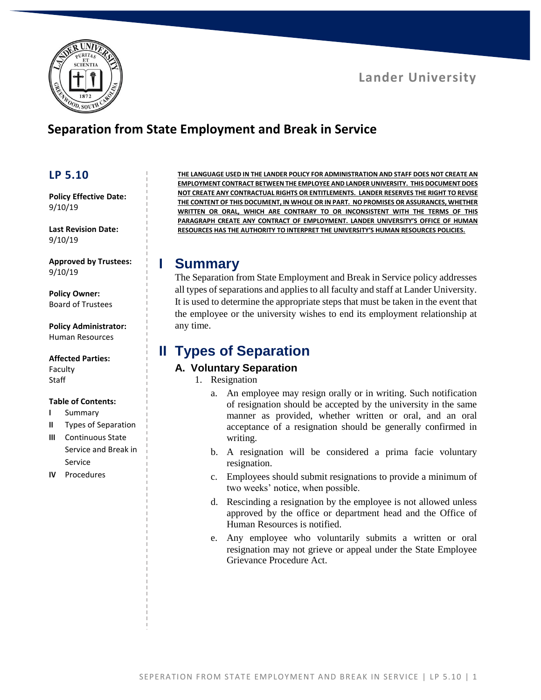



# **Separation from State Employment and Break in Service**

### **LP 5.10**

**Policy Effective Date:** 9/10/19

**Last Revision Date:** 9/10/19

**Approved by Trustees:** 9/10/19

**Policy Owner:** Board of Trustees

**Policy Administrator:** Human Resources

#### **Affected Parties:**

Faculty **Staff** 

#### **Table of Contents:**

- **I** Summary
- **II** Types of Separation
- **III** Continuous State Service and Break in Service
- **IV** Procedures

**THE LANGUAGE USED IN THE LANDER POLICY FOR ADMINISTRATION AND STAFF DOES NOT CREATE AN EMPLOYMENT CONTRACT BETWEEN THE EMPLOYEE AND LANDER UNIVERSITY. THIS DOCUMENT DOES NOT CREATE ANY CONTRACTUAL RIGHTS OR ENTITLEMENTS. LANDER RESERVES THE RIGHT TO REVISE THE CONTENT OF THIS DOCUMENT, IN WHOLE OR IN PART. NO PROMISES OR ASSURANCES, WHETHER WRITTEN OR ORAL, WHICH ARE CONTRARY TO OR INCONSISTENT WITH THE TERMS OF THIS PARAGRAPH CREATE ANY CONTRACT OF EMPLOYMENT. LANDER UNIVERSITY'S OFFICE OF HUMAN RESOURCES HAS THE AUTHORITY TO INTERPRET THE UNIVERSITY'S HUMAN RESOURCES POLICIES.**

### **I Summary**

The Separation from State Employment and Break in Service policy addresses all types of separations and applies to all faculty and staff at Lander University. It is used to determine the appropriate steps that must be taken in the event that the employee or the university wishes to end its employment relationship at any time.

## **II Types of Separation**

### **A. Voluntary Separation**

- 1. Resignation
	- a. An employee may resign orally or in writing. Such notification of resignation should be accepted by the university in the same manner as provided, whether written or oral, and an oral acceptance of a resignation should be generally confirmed in writing.
	- b. A resignation will be considered a prima facie voluntary resignation.
	- c. Employees should submit resignations to provide a minimum of two weeks' notice, when possible.
	- d. Rescinding a resignation by the employee is not allowed unless approved by the office or department head and the Office of Human Resources is notified.
	- e. Any employee who voluntarily submits a written or oral resignation may not grieve or appeal under the State Employee Grievance Procedure Act.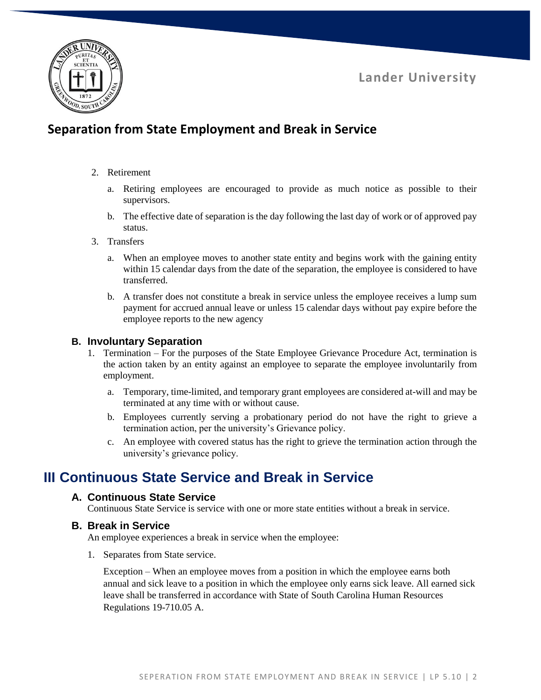**Lander University**



# **Separation from State Employment and Break in Service**

#### 2. Retirement

- a. Retiring employees are encouraged to provide as much notice as possible to their supervisors.
- b. The effective date of separation is the day following the last day of work or of approved pay status.
- 3. Transfers
	- a. When an employee moves to another state entity and begins work with the gaining entity within 15 calendar days from the date of the separation, the employee is considered to have transferred.
	- b. A transfer does not constitute a break in service unless the employee receives a lump sum payment for accrued annual leave or unless 15 calendar days without pay expire before the employee reports to the new agency

### **B. Involuntary Separation**

- 1. Termination For the purposes of the State Employee Grievance Procedure Act, termination is the action taken by an entity against an employee to separate the employee involuntarily from employment.
	- a. Temporary, time-limited, and temporary grant employees are considered at-will and may be terminated at any time with or without cause.
	- b. Employees currently serving a probationary period do not have the right to grieve a termination action, per the university's Grievance policy.
	- c. An employee with covered status has the right to grieve the termination action through the university's grievance policy.

# **III Continuous State Service and Break in Service**

### **A. Continuous State Service**

Continuous State Service is service with one or more state entities without a break in service.

### **B. Break in Service**

An employee experiences a break in service when the employee:

1. Separates from State service.

Exception – When an employee moves from a position in which the employee earns both annual and sick leave to a position in which the employee only earns sick leave. All earned sick leave shall be transferred in accordance with State of South Carolina Human Resources Regulations 19-710.05 A.